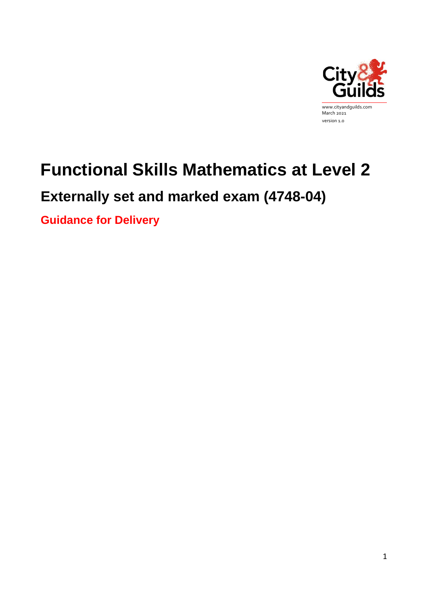

# **Functional Skills Mathematics at Level 2**

# **Externally set and marked exam (4748-04)**

**Guidance for Delivery**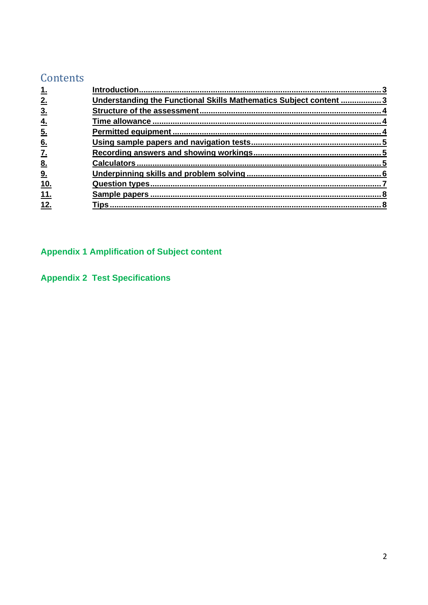# Contents

| 2.                       | Understanding the Functional Skills Mathematics Subject content  3 |  |
|--------------------------|--------------------------------------------------------------------|--|
| 3 <sub>1</sub>           |                                                                    |  |
| <u>4.</u>                |                                                                    |  |
| $\underline{5}$ .        |                                                                    |  |
| 6.                       |                                                                    |  |
| $\underline{\mathbf{Z}}$ |                                                                    |  |
| 8.                       |                                                                    |  |
| 9.                       |                                                                    |  |
| <u>10.</u>               |                                                                    |  |
| 11.                      |                                                                    |  |
| 12.                      |                                                                    |  |
|                          |                                                                    |  |

# **Appendix 1 Amplification of Subject content**

**Appendix 2 Test Specifications**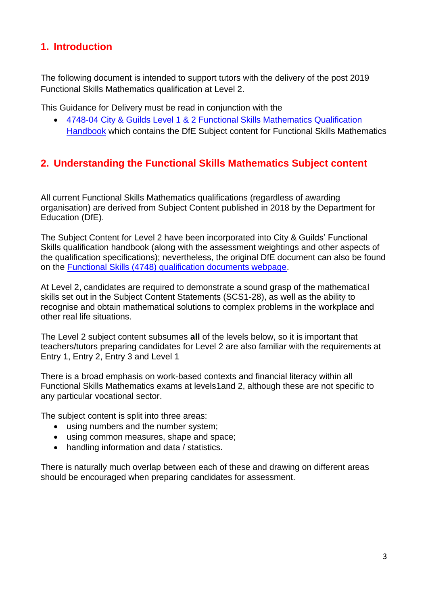# <span id="page-2-0"></span>**1. Introduction**

The following document is intended to support tutors with the delivery of the post 2019 Functional Skills Mathematics qualification at Level 2.

This Guidance for Delivery must be read in conjunction with the

• 4748-04 City & Guilds [Level 1 & 2 Functional Skills Mathematics Qualification](https://www.cityandguilds.com/qualifications-and-apprenticeships/skills-for-work-and-life/english-mathematics-and-ict-skills/4748-functional-skills#tab=documents)  [Handbook](https://www.cityandguilds.com/qualifications-and-apprenticeships/skills-for-work-and-life/english-mathematics-and-ict-skills/4748-functional-skills#tab=documents) which contains the DfE Subject content for Functional Skills Mathematics

# <span id="page-2-1"></span>**2. Understanding the Functional Skills Mathematics Subject content**

All current Functional Skills Mathematics qualifications (regardless of awarding organisation) are derived from Subject Content published in 2018 by the Department for Education (DfE).

The Subject Content for Level 2 have been incorporated into City & Guilds' Functional Skills qualification handbook (along with the assessment weightings and other aspects of the qualification specifications); nevertheless, the original DfE document can also be found on the [Functional Skills \(4748\) qualification documents webpage.](https://www.cityandguilds.com/qualifications-and-apprenticeships/skills-for-work-and-life/english-mathematics-and-ict-skills/4748-functional-skills)

At Level 2, candidates are required to demonstrate a sound grasp of the mathematical skills set out in the Subject Content Statements (SCS1-28), as well as the ability to recognise and obtain mathematical solutions to complex problems in the workplace and other real life situations.

The Level 2 subject content subsumes **all** of the levels below, so it is important that teachers/tutors preparing candidates for Level 2 are also familiar with the requirements at Entry 1, Entry 2, Entry 3 and Level 1

There is a broad emphasis on work-based contexts and financial literacy within all Functional Skills Mathematics exams at levels1and 2, although these are not specific to any particular vocational sector.

The subject content is split into three areas:

- using numbers and the number system;
- using common measures, shape and space;
- handling information and data / statistics.

There is naturally much overlap between each of these and drawing on different areas should be encouraged when preparing candidates for assessment.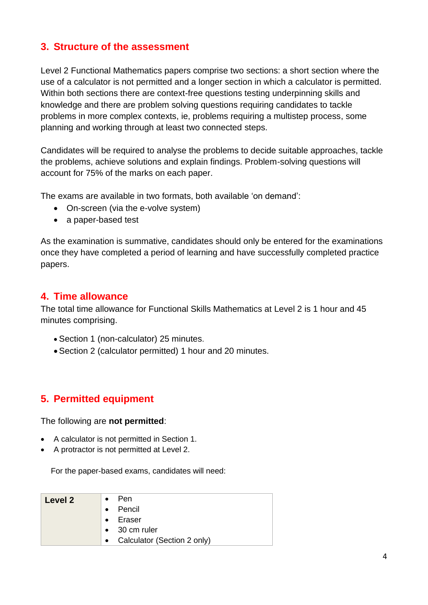# <span id="page-3-0"></span>**3. Structure of the assessment**

Level 2 Functional Mathematics papers comprise two sections: a short section where the use of a calculator is not permitted and a longer section in which a calculator is permitted. Within both sections there are context-free questions testing underpinning skills and knowledge and there are problem solving questions requiring candidates to tackle problems in more complex contexts, ie, problems requiring a multistep process, some planning and working through at least two connected steps.

Candidates will be required to analyse the problems to decide suitable approaches, tackle the problems, achieve solutions and explain findings. Problem-solving questions will account for 75% of the marks on each paper.

The exams are available in two formats, both available 'on demand':

- On-screen (via the e-volve system)
- a paper-based test

As the examination is summative, candidates should only be entered for the examinations once they have completed a period of learning and have successfully completed practice papers.

# <span id="page-3-1"></span>**4. Time allowance**

The total time allowance for Functional Skills Mathematics at Level 2 is 1 hour and 45 minutes comprising.

- Section 1 (non-calculator) 25 minutes.
- Section 2 (calculator permitted) 1 hour and 20 minutes.

# <span id="page-3-2"></span>**5. Permitted equipment**

The following are **not permitted**:

- A calculator is not permitted in Section 1.
- A protractor is not permitted at Level 2.

For the paper-based exams, candidates will need:

| Level 2 | $\bullet$ | – Pen                         |
|---------|-----------|-------------------------------|
|         | $\bullet$ | Pencil                        |
|         | $\bullet$ | Eraser                        |
|         |           | $\bullet$ 30 cm ruler         |
|         |           | • Calculator (Section 2 only) |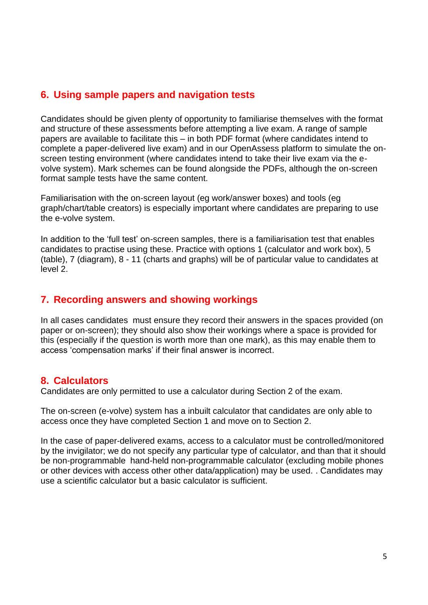# <span id="page-4-0"></span>**6. Using sample papers and navigation tests**

Candidates should be given plenty of opportunity to familiarise themselves with the format and structure of these assessments before attempting a live exam. A range of sample papers are available to facilitate this – in both PDF format (where candidates intend to complete a paper-delivered live exam) and in our OpenAssess platform to simulate the onscreen testing environment (where candidates intend to take their live exam via the evolve system). Mark schemes can be found alongside the PDFs, although the on-screen format sample tests have the same content.

Familiarisation with the on-screen layout (eg work/answer boxes) and tools (eg graph/chart/table creators) is especially important where candidates are preparing to use the e-volve system.

In addition to the 'full test' on-screen samples, there is a familiarisation test that enables candidates to practise using these. Practice with options 1 (calculator and work box), 5 (table), 7 (diagram), 8 - 11 (charts and graphs) will be of particular value to candidates at level 2.

# <span id="page-4-1"></span>**7. Recording answers and showing workings**

In all cases candidates must ensure they record their answers in the spaces provided (on paper or on-screen); they should also show their workings where a space is provided for this (especially if the question is worth more than one mark), as this may enable them to access 'compensation marks' if their final answer is incorrect.

# <span id="page-4-2"></span>**8. Calculators**

Candidates are only permitted to use a calculator during Section 2 of the exam.

The on-screen (e-volve) system has a inbuilt calculator that candidates are only able to access once they have completed Section 1 and move on to Section 2.

In the case of paper-delivered exams, access to a calculator must be controlled/monitored by the invigilator; we do not specify any particular type of calculator, and than that it should be non-programmable hand-held non-programmable calculator (excluding mobile phones or other devices with access other other data/application) may be used. . Candidates may use a scientific calculator but a basic calculator is sufficient.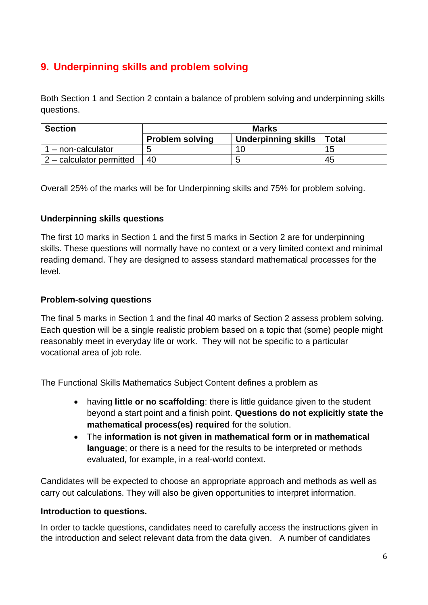# <span id="page-5-0"></span>**9. Underpinning skills and problem solving**

Both Section 1 and Section 2 contain a balance of problem solving and underpinning skills questions.

| <b>Section</b>             | <b>Marks</b>           |                            |              |  |  |
|----------------------------|------------------------|----------------------------|--------------|--|--|
|                            | <b>Problem solving</b> | <b>Underpinning skills</b> | <b>Total</b> |  |  |
| - non-calculator           |                        | 10                         | 15           |  |  |
| $2$ – calculator permitted | 40                     |                            | 45           |  |  |

Overall 25% of the marks will be for Underpinning skills and 75% for problem solving.

### **Underpinning skills questions**

The first 10 marks in Section 1 and the first 5 marks in Section 2 are for underpinning skills. These questions will normally have no context or a very limited context and minimal reading demand. They are designed to assess standard mathematical processes for the level.

### **Problem-solving questions**

The final 5 marks in Section 1 and the final 40 marks of Section 2 assess problem solving. Each question will be a single realistic problem based on a topic that (some) people might reasonably meet in everyday life or work. They will not be specific to a particular vocational area of job role.

The Functional Skills Mathematics Subject Content defines a problem as

- having **little or no scaffolding**: there is little guidance given to the student beyond a start point and a finish point. **Questions do not explicitly state the mathematical process(es) required** for the solution.
- The **information is not given in mathematical form or in mathematical language**; or there is a need for the results to be interpreted or methods evaluated, for example, in a real-world context.

Candidates will be expected to choose an appropriate approach and methods as well as carry out calculations. They will also be given opportunities to interpret information.

#### **Introduction to questions.**

In order to tackle questions, candidates need to carefully access the instructions given in the introduction and select relevant data from the data given. A number of candidates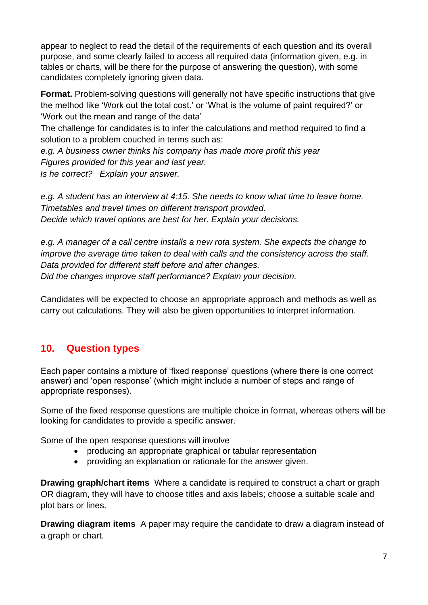appear to neglect to read the detail of the requirements of each question and its overall purpose, and some clearly failed to access all required data (information given, e.g. in tables or charts, will be there for the purpose of answering the question), with some candidates completely ignoring given data.

**Format.** Problem-solving questions will generally not have specific instructions that give the method like 'Work out the total cost.' or 'What is the volume of paint required?' or 'Work out the mean and range of the data'

The challenge for candidates is to infer the calculations and method required to find a solution to a problem couched in terms such as:

*e.g. A business owner thinks his company has made more profit this year Figures provided for this year and last year. Is he correct? Explain your answer.*

*e.g. A student has an interview at 4:15. She needs to know what time to leave home. Timetables and travel times on different transport provided. Decide which travel options are best for her. Explain your decisions.*

*e.g. A manager of a call centre installs a new rota system. She expects the change to improve the average time taken to deal with calls and the consistency across the staff. Data provided for different staff before and after changes. Did the changes improve staff performance? Explain your decision.* 

Candidates will be expected to choose an appropriate approach and methods as well as carry out calculations. They will also be given opportunities to interpret information.

# <span id="page-6-0"></span>**10. Question types**

Each paper contains a mixture of 'fixed response' questions (where there is one correct answer) and 'open response' (which might include a number of steps and range of appropriate responses).

Some of the fixed response questions are multiple choice in format, whereas others will be looking for candidates to provide a specific answer.

Some of the open response questions will involve

- producing an appropriate graphical or tabular representation
- providing an explanation or rationale for the answer given.

**Drawing graph/chart items** Where a candidate is required to construct a chart or graph OR diagram, they will have to choose titles and axis labels; choose a suitable scale and plot bars or lines.

**Drawing diagram items** A paper may require the candidate to draw a diagram instead of a graph or chart.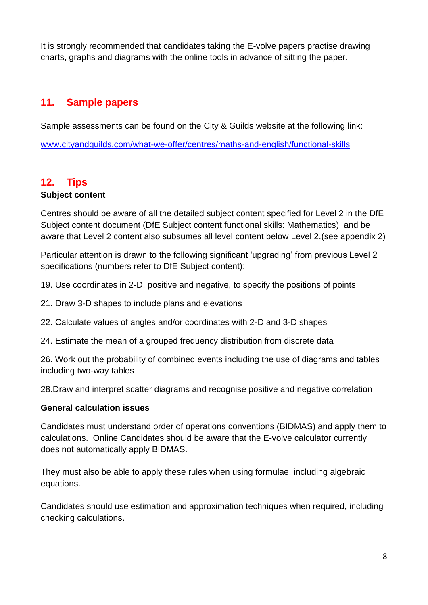It is strongly recommended that candidates taking the E-volve papers practise drawing charts, graphs and diagrams with the online tools in advance of sitting the paper.

# <span id="page-7-0"></span>**11. Sample papers**

Sample assessments can be found on the City & Guilds website at the following link:

[www.cityandguilds.com/what-we-offer/centres/maths-and-english/functional-skills](http://www.cityandguilds.com/what-we-offer/centres/maths-and-english/functional-skills)

# <span id="page-7-1"></span>**12. Tips**

# **Subject content**

Centres should be aware of all the detailed subject content specified for Level 2 in the DfE Subject content document [\(DfE Subject content functional skills: Mathematics\)](https://assets.publishing.service.gov.uk/government/uploads/system/uploads/attachment_data/file/684807/Functional_Skills_Subject_Content_Mathematics.pdf) and be aware that Level 2 content also subsumes all level content below Level 2.(see appendix 2)

Particular attention is drawn to the following significant 'upgrading' from previous Level 2 specifications (numbers refer to DfE Subject content):

19. Use coordinates in 2-D, positive and negative, to specify the positions of points

- 21. Draw 3-D shapes to include plans and elevations
- 22. Calculate values of angles and/or coordinates with 2-D and 3-D shapes
- 24. Estimate the mean of a grouped frequency distribution from discrete data

26. Work out the probability of combined events including the use of diagrams and tables including two-way tables

28.Draw and interpret scatter diagrams and recognise positive and negative correlation

## **General calculation issues**

Candidates must understand order of operations conventions (BIDMAS) and apply them to calculations. Online Candidates should be aware that the E-volve calculator currently does not automatically apply BIDMAS.

They must also be able to apply these rules when using formulae, including algebraic equations.

Candidates should use estimation and approximation techniques when required, including checking calculations.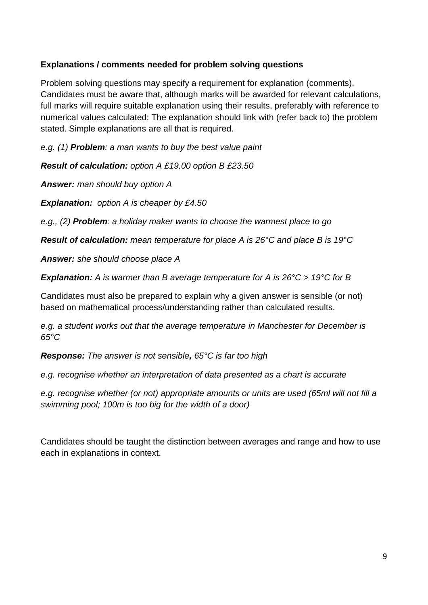# **Explanations / comments needed for problem solving questions**

Problem solving questions may specify a requirement for explanation (comments). Candidates must be aware that, although marks will be awarded for relevant calculations, full marks will require suitable explanation using their results, preferably with reference to numerical values calculated: The explanation should link with (refer back to) the problem stated. Simple explanations are all that is required.

*e.g. (1) Problem: a man wants to buy the best value paint*

*Result of calculation: option A £19.00 option B £23.50*

*Answer: man should buy option A*

*Explanation: option A is cheaper by £4.50*

*e.g., (2) Problem: a holiday maker wants to choose the warmest place to go*

*Result of calculation: mean temperature for place A is 26°C and place B is 19°C* 

*Answer: she should choose place A*

*Explanation: A is warmer than B average temperature for A is 26°C > 19°C for B* 

Candidates must also be prepared to explain why a given answer is sensible (or not) based on mathematical process/understanding rather than calculated results.

*e.g. a student works out that the average temperature in Manchester for December is 65°C*

*Response: The answer is not sensible, 65°C is far too high*

*e.g. recognise whether an interpretation of data presented as a chart is accurate*

*e.g. recognise whether (or not) appropriate amounts or units are used (65ml will not fill a swimming pool; 100m is too big for the width of a door)*

Candidates should be taught the distinction between averages and range and how to use each in explanations in context.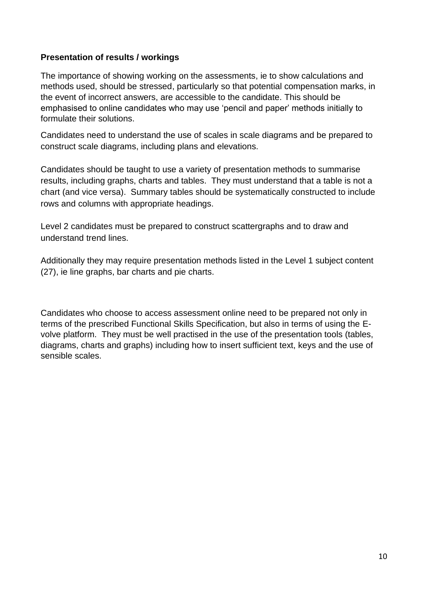### **Presentation of results / workings**

The importance of showing working on the assessments, ie to show calculations and methods used, should be stressed, particularly so that potential compensation marks, in the event of incorrect answers, are accessible to the candidate. This should be emphasised to online candidates who may use 'pencil and paper' methods initially to formulate their solutions.

Candidates need to understand the use of scales in scale diagrams and be prepared to construct scale diagrams, including plans and elevations.

Candidates should be taught to use a variety of presentation methods to summarise results, including graphs, charts and tables. They must understand that a table is not a chart (and vice versa). Summary tables should be systematically constructed to include rows and columns with appropriate headings.

Level 2 candidates must be prepared to construct scattergraphs and to draw and understand trend lines.

Additionally they may require presentation methods listed in the Level 1 subject content (27), ie line graphs, bar charts and pie charts.

Candidates who choose to access assessment online need to be prepared not only in terms of the prescribed Functional Skills Specification, but also in terms of using the Evolve platform. They must be well practised in the use of the presentation tools (tables, diagrams, charts and graphs) including how to insert sufficient text, keys and the use of sensible scales.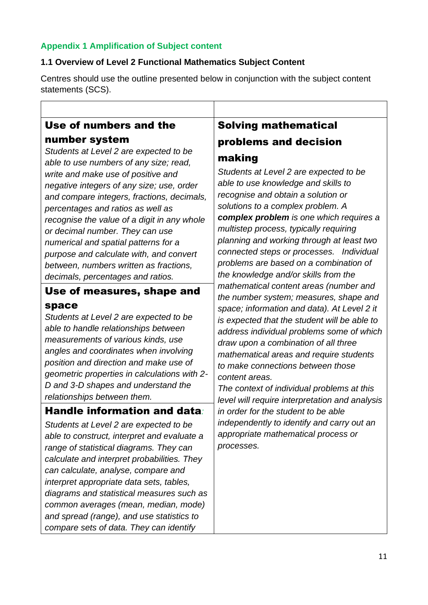# **Appendix 1 Amplification of Subject content**

# **1.1 Overview of Level 2 Functional Mathematics Subject Content**

Centres should use the outline presented below in conjunction with the subject content statements (SCS).

# Use of numbers and the

# number system

*Students at Level 2 are expected to be able to use numbers of any size; read, write and make use of positive and negative integers of any size; use, order and compare integers, fractions, decimals, percentages and ratios as well as recognise the value of a digit in any whole or decimal number. They can use numerical and spatial patterns for a purpose and calculate with, and convert between, numbers written as fractions, decimals, percentages and ratios.* 

# Use of measures, shape and space

*Students at Level 2 are expected to be able to handle relationships between measurements of various kinds, use angles and coordinates when involving position and direction and make use of geometric properties in calculations with 2- D and 3-D shapes and understand the relationships between them.*

# Handle information and data*:*

*Students at Level 2 are expected to be able to construct, interpret and evaluate a range of statistical diagrams. They can calculate and interpret probabilities. They can calculate, analyse, compare and interpret appropriate data sets, tables, diagrams and statistical measures such as common averages (mean, median, mode) and spread (range), and use statistics to compare sets of data. They can identify* 

# Solving mathematical problems and decision making

*Students at Level 2 are expected to be able to use knowledge and skills to recognise and obtain a solution or solutions to a complex problem. A complex problem is one which requires a multistep process, typically requiring planning and working through at least two connected steps or processes. Individual problems are based on a combination of the knowledge and/or skills from the mathematical content areas (number and the number system; measures, shape and space; information and data). At Level 2 it is expected that the student will be able to address individual problems some of which draw upon a combination of all three mathematical areas and require students to make connections between those content areas.* 

*The context of individual problems at this level will require interpretation and analysis in order for the student to be able independently to identify and carry out an appropriate mathematical process or processes.*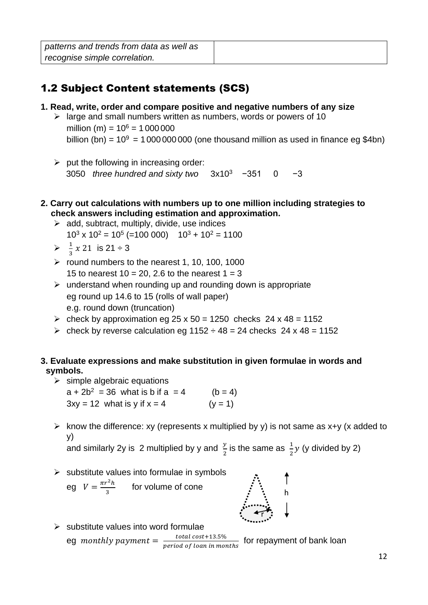*patterns and trends from data as well as recognise simple correlation.* 

# 1.2 Subject Content statements (SCS)

- **1. Read, write, order and compare positive and negative numbers of any size**
	- $\geq$  large and small numbers written as numbers, words or powers of 10 million (m) =  $10^6$  = 1 000 000 billion (bn) =  $10^9$  = 1000 000 000 (one thousand million as used in finance eg \$4bn)
	- $\triangleright$  put the following in increasing order: 3050 *three hundred and sixty two* 3x10<sup>3</sup> -351 0 -3
- **2. Carry out calculations with numbers up to one million including strategies to check answers including estimation and approximation.**
	- $\triangleright$  add, subtract, multiply, divide, use indices  $10^3$  x  $10^2$  =  $10^5$  (=100 000)  $10^3$  +  $10^2$  = 1100
	- $\geqslant \frac{1}{2}$  $\frac{1}{3}$  x 21 is 21 ÷ 3
	- $\triangleright$  round numbers to the nearest 1, 10, 100, 1000 15 to nearest  $10 = 20$ . 2.6 to the nearest  $1 = 3$
	- $\triangleright$  understand when rounding up and rounding down is appropriate eg round up 14.6 to 15 (rolls of wall paper) e.g. round down (truncation)
	- $\ge$  check by approximation eg 25 x 50 = 1250 checks 24 x 48 = 1152
	- $\ge$  check by reverse calculation eg 1152  $\div$  48 = 24 checks 24 x 48 = 1152

# **3. Evaluate expressions and make substitution in given formulae in words and symbols.**

- $\triangleright$  simple algebraic equations  $a + 2b^2 = 36$  what is b if  $a = 4$  (b = 4)  $3xy = 12$  what is y if  $x = 4$  (y = 1)
- $\triangleright$  know the difference: xy (represents x multiplied by y) is not same as x+y (x added to y)

and similarly 2y is 2 multiplied by y and  $\frac{y}{2}$  is the same as  $\frac{1}{2}y$  (y divided by 2)

 $\triangleright$  substitute values into formulae in symbols

eg  $V = \frac{\pi r^2 h}{r^2}$  $\frac{n}{3}$  for volume of cone



 $\triangleright$  substitute values into word formulae eg monthly payment  $=\frac{\text{total cost}+13.5\%}{\text{m solid of loss in mass}}$  $\frac{total\ cost + 13.370}{period\ of\ loan\ in\ months}$  for repayment of bank loan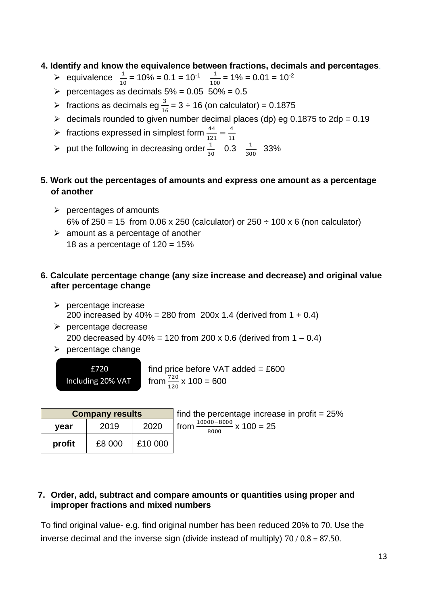### **4. Identify and know the equivalence between fractions, decimals and percentages**.

- > equivalence  $\frac{1}{10} = 10\% = 0.1 = 10^{-1} \frac{1}{10}$  $\frac{1}{100}$  = 1% = 0.01 = 10<sup>-2</sup>
- $\ge$  percentages as decimals 5% = 0.05 50% = 0.5
- > fractions as decimals eg  $\frac{3}{16} = 3 \div 16$  (on calculator) = 0.1875
- $\geq$  decimals rounded to given number decimal places (dp) eg 0.1875 to 2dp = 0.19
- > fractions expressed in simplest form  $\frac{44}{121} = \frac{4}{11}$ 11
- > put the following in decreasing order  $\frac{1}{30}$  0.3  $\frac{1}{30}$  $\frac{1}{300}$  33%

### **5. Work out the percentages of amounts and express one amount as a percentage of another**

- $\triangleright$  percentages of amounts 6% of 250 = 15 from 0.06 x 250 (calculator) or 250  $\div$  100 x 6 (non calculator)
- $\geq$  amount as a percentage of another 18 as a percentage of  $120 = 15%$

### **6. Calculate percentage change (any size increase and decrease) and original value after percentage change**

find price before VAT added =  $£600$ 

- ➢ percentage increase 200 increased by 40% = 280 from 200x 1.4 (derived from 1 + 0.4)
- ➢ percentage decrease 200 decreased by  $40\% = 120$  from 200 x 0.6 (derived from  $1 - 0.4$ )

from  $\frac{720}{120}$  x 100 = 600

 $\triangleright$  percentage change

£720 Including 20% VAT

| <b>Company results</b> |      |                   | I find the percentage increase in profit = $25\%$ |
|------------------------|------|-------------------|---------------------------------------------------|
| vear                   | 2019 | 2020              | from $\frac{10000 - 8000}{25}$ x 100 = 25<br>8000 |
| profit                 |      | $£8000$ $ £10000$ |                                                   |

### **7. Order, add, subtract and compare amounts or quantities using proper and improper fractions and mixed numbers**

To find original value- e.g. find original number has been reduced 20% to 70. Use the inverse decimal and the inverse sign (divide instead of multiply)  $70/0.8 = 87.50$ .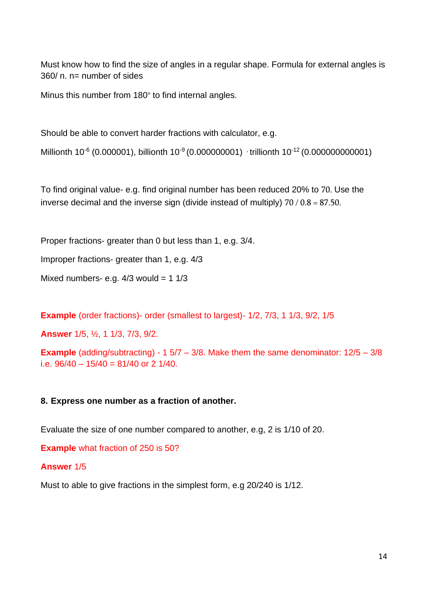Must know how to find the size of angles in a regular shape. Formula for external angles is 360/ n. n= number of sides

Minus this number from 180° to find internal angles.

Should be able to convert harder fractions with calculator, e.g.

Millionth 10<sup>-6</sup> (0.000001), billionth 10<sup>-9</sup> (0.000000001) trillionth 10<sup>-12</sup> (0.000000000001)

To find original value- e.g. find original number has been reduced 20% to 70. Use the inverse decimal and the inverse sign (divide instead of multiply)  $70 / 0.8 = 87.50$ .

Proper fractions- greater than 0 but less than 1, e.g. 3/4.

Improper fractions- greater than 1, e.g. 4/3

Mixed numbers- e.g.  $4/3$  would = 1  $1/3$ 

**Example** (order fractions)- order (smallest to largest)- 1/2, 7/3, 1 1/3, 9/2, 1/5

**Answer** 1/5, ½, 1 1/3, 7/3, 9/2.

**Example** (adding/subtracting) - 1 5/7 – 3/8. Make them the same denominator: 12/5 – 3/8 i.e. 96/40 – 15/40 = 81/40 or 2 1/40.

#### **8. Express one number as a fraction of another.**

Evaluate the size of one number compared to another, e.g, 2 is 1/10 of 20.

**Example** what fraction of 250 is 50?

#### **Answer** 1/5

Must to able to give fractions in the simplest form, e.g 20/240 is 1/12.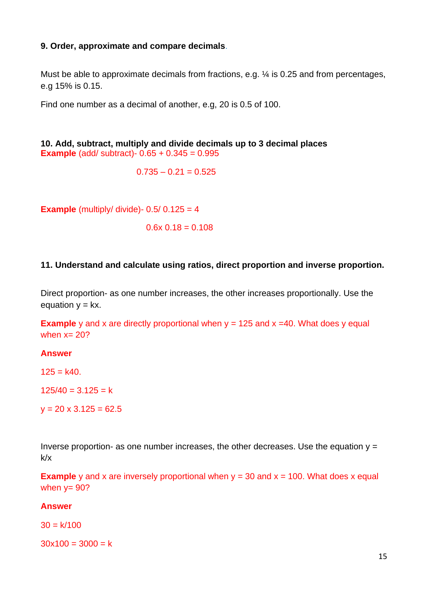#### **9. Order, approximate and compare decimals**.

Must be able to approximate decimals from fractions, e.g.  $\frac{1}{4}$  is 0.25 and from percentages, e.g 15% is 0.15.

Find one number as a decimal of another, e.g, 20 is 0.5 of 100.

**10. Add, subtract, multiply and divide decimals up to 3 decimal places Example** (add/ subtract)- 0.65 + 0.345 = 0.995

 $0.735 - 0.21 = 0.525$ 

**Example** (multiply/ divide)-  $0.5/0.125 = 4$ 

 $0.6x$   $0.18 = 0.108$ 

#### **11. Understand and calculate using ratios, direct proportion and inverse proportion.**

Direct proportion- as one number increases, the other increases proportionally. Use the equation  $y = kx$ .

**Example** y and x are directly proportional when  $y = 125$  and  $x = 40$ . What does y equal when  $x=20$ ?

#### **Answer**

 $125 = k40.$ 

 $125/40 = 3.125 = k$ 

 $y = 20 \times 3.125 = 62.5$ 

Inverse proportion- as one number increases, the other decreases. Use the equation  $y =$ k/x

**Example** y and x are inversely proportional when  $y = 30$  and  $x = 100$ . What does x equal when  $v = 90$ ?

#### **Answer**

 $30 = k/100$ 

 $30x100 = 3000 = k$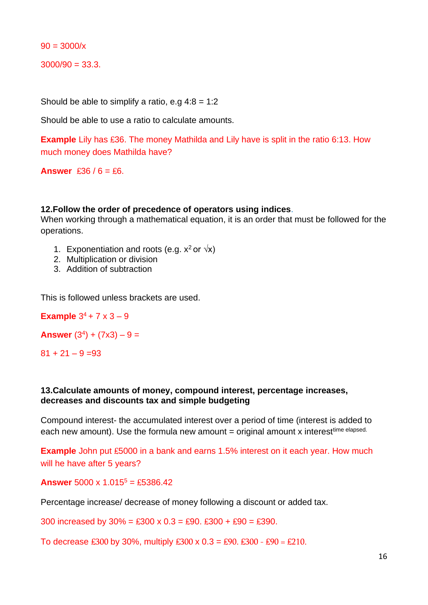$90 = 3000/x$ 

 $3000/90 = 33.3.$ 

Should be able to simplify a ratio, e.g  $4:8 = 1:2$ 

Should be able to use a ratio to calculate amounts.

**Example** Lily has £36. The money Mathilda and Lily have is split in the ratio 6:13. How much money does Mathilda have?

**Answer** ₤36 / 6 = ₤6.

#### **12.Follow the order of precedence of operators using indices**.

When working through a mathematical equation, it is an order that must be followed for the operations.

- 1. Exponentiation and roots (e.g.  $x^2$  or  $\sqrt{x}$ )
- 2. Multiplication or division
- 3. Addition of subtraction

This is followed unless brackets are used.

**Example**  $3^4$  + 7 x 3 - 9

**Answer**  $(3^4) + (7 \times 3) - 9 =$ 

 $81 + 21 - 9 = 93$ 

#### **13.Calculate amounts of money, compound interest, percentage increases, decreases and discounts tax and simple budgeting**

Compound interest- the accumulated interest over a period of time (interest is added to each new amount). Use the formula new amount  $=$  original amount x interest<sup>time elapsed.</sup>

**Example** John put £5000 in a bank and earns 1.5% interest on it each year. How much will he have after 5 years?

**Answer** 5000 x 1.015<sup>5</sup> = ₤5386.42

Percentage increase/ decrease of money following a discount or added tax.

300 increased by  $30\% = \text{\pounds}300 \times 0.3 = \text{\pounds}90$ .  $\text{\pounds}300 + \text{\pounds}90 = \text{\pounds}390$ .

To decrease £300 by 30%, multiply £300 x  $0.3 = £90$ . £300 - £90 = £210.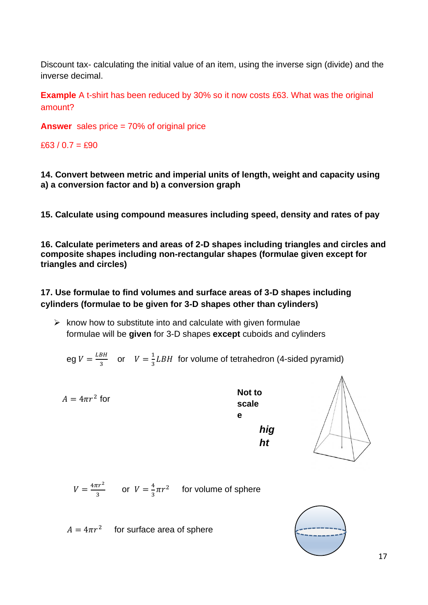Discount tax- calculating the initial value of an item, using the inverse sign (divide) and the inverse decimal.

**Example** A t-shirt has been reduced by 30% so it now costs £63. What was the original amount?

**Answer** sales price = 70% of original price

₤63 / 0.7 = ₤90

**14. Convert between metric and imperial units of length, weight and capacity using a) a conversion factor and b) a conversion graph**

**15. Calculate using compound measures including speed, density and rates of pay**

**16. Calculate perimeters and areas of 2-D shapes including triangles and circles and composite shapes including non-rectangular shapes (formulae given except for triangles and circles)** 

# **17. Use formulae to find volumes and surface areas of 3-D shapes including cylinders (formulae to be given for 3-D shapes other than cylinders)**

 $\triangleright$  know how to substitute into and calculate with given formulae formulae will be **given** for 3-D shapes **except** cuboids and cylinders

eg 
$$
V = \frac{LBH}{3}
$$
 or  $V = \frac{1}{3}LBH$  for volume of tetrahedron (4-sided pyramid)

$$
A = 4\pi r^2
$$
 for  
\nscale  
\ne  
\nhig  
\nht

 $V = \frac{4\pi r^2}{r^2}$  $rac{\pi r^2}{3}$  or  $V = \frac{4}{3}$  $\frac{4}{3}\pi r^2$  for volume of sphere

 $A = 4\pi r^2$  for surface area of sphere

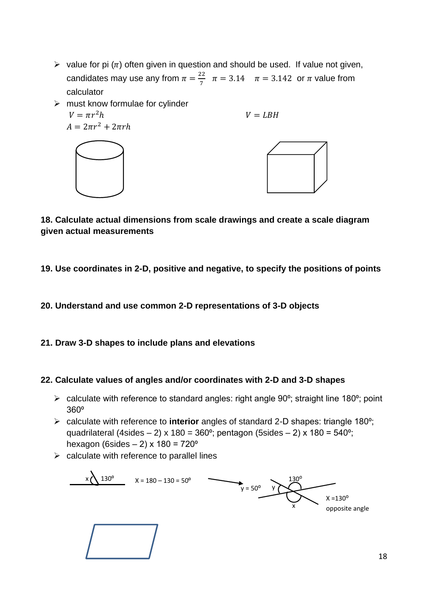$\triangleright$  value for pi ( $\pi$ ) often given in question and should be used. If value not given, candidates may use any from  $\pi = \frac{22}{7}$  $\frac{22}{7}$   $\pi = 3.14$   $\pi = 3.142$  or  $\pi$  value from calculator



**18. Calculate actual dimensions from scale drawings and create a scale diagram given actual measurements**

**19. Use coordinates in 2-D, positive and negative, to specify the positions of points**

**20. Understand and use common 2-D representations of 3-D objects** 

**21. Draw 3-D shapes to include plans and elevations** 

## **22. Calculate values of angles and/or coordinates with 2-D and 3-D shapes**

- $\triangleright$  calculate with reference to standard angles: right angle 90 $\degree$ ; straight line 180 $\degree$ ; point 360⁰
- ➢ calculate with reference to **interior** angles of standard 2-D shapes: triangle 180⁰; quadrilateral (4sides – 2) x 180 = 360 $^{\circ}$ ; pentagon (5sides – 2) x 180 = 540 $^{\circ}$ ; hexagon (6sides  $- 2$ ) x 180 = 720 $^{\circ}$
- $\triangleright$  calculate with reference to parallel lines

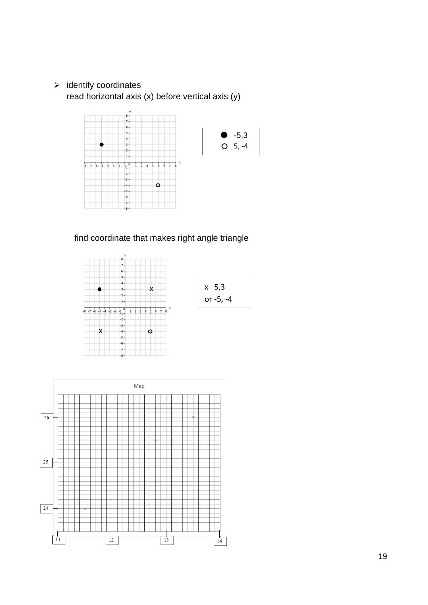➢ identify coordinates read horizontal axis (x) before vertical axis (y)



find coordinate that makes right angle triangle



| x 5,3     |
|-----------|
| or -5, -4 |

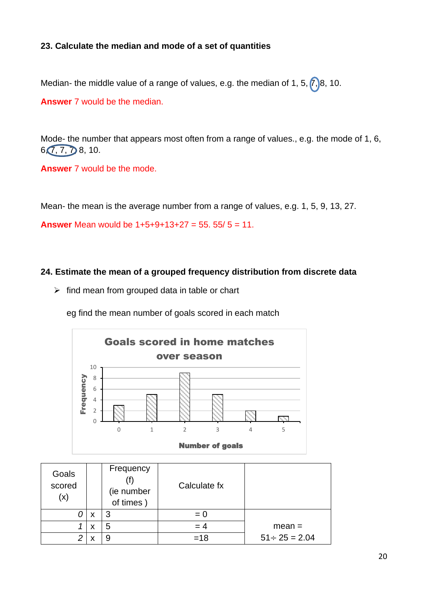# **23. Calculate the median and mode of a set of quantities**

Median- the middle value of a range of values, e.g. the median of 1, 5,  $(7)$ 8, 10.

**Answer** 7 would be the median.

Mode- the number that appears most often from a range of values., e.g. the mode of 1, 6,  $6, 7, 7, 7, 8, 10.$ 

**Answer** 7 would be the mode.

Mean- the mean is the average number from a range of values, e.g. 1, 5, 9, 13, 27.

**Answer** Mean would be 1+5+9+13+27 = 55. 55/ 5 = 11.

### **24. Estimate the mean of a grouped frequency distribution from discrete data**

 $\triangleright$  find mean from grouped data in table or chart

eg find the mean number of goals scored in each match



| Goals<br>scored<br>(x) |   | Frequency<br>(ie number<br>of times) | Calculate fx |                     |
|------------------------|---|--------------------------------------|--------------|---------------------|
|                        | X | З                                    | $= 0$        |                     |
|                        | х | 5                                    | $=4$         | $mean =$            |
| ⌒                      |   |                                      | $=18$        | $51 \div 25 = 2.04$ |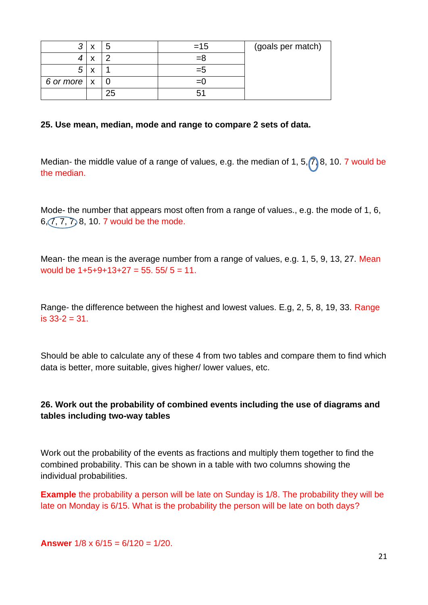|                           | Ð  | $=15$ | (goals per match) |
|---------------------------|----|-------|-------------------|
|                           |    | ظ=    |                   |
|                           |    | ≔ກ    |                   |
| 6 or more $\vert x \vert$ |    |       |                   |
|                           | 25 |       |                   |

#### **25. Use mean, median, mode and range to compare 2 sets of data.**

Median- the middle value of a range of values, e.g. the median of 1, 5,  $\binom{7}{1}$  8, 10. 7 would be the median.

Mode- the number that appears most often from a range of values., e.g. the mode of 1, 6,  $6, 7, 7, 7, 8, 10. 7$  would be the mode.

Mean- the mean is the average number from a range of values, e.g. 1, 5, 9, 13, 27. Mean would be  $1+5+9+13+27 = 55.55/5 = 11.$ 

Range- the difference between the highest and lowest values. E.g, 2, 5, 8, 19, 33. Range is 33-2 = 31.

Should be able to calculate any of these 4 from two tables and compare them to find which data is better, more suitable, gives higher/ lower values, etc.

## **26. Work out the probability of combined events including the use of diagrams and tables including two-way tables**

Work out the probability of the events as fractions and multiply them together to find the combined probability. This can be shown in a table with two columns showing the individual probabilities.

**Example** the probability a person will be late on Sunday is 1/8. The probability they will be late on Monday is 6/15. What is the probability the person will be late on both days?

**Answer** 1/8 x 6/15 = 6/120 = 1/20.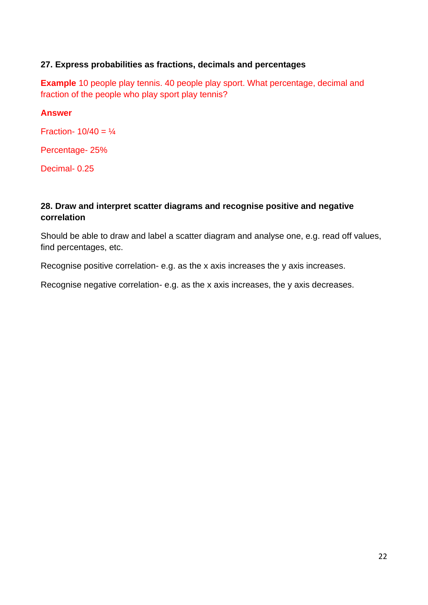# **27. Express probabilities as fractions, decimals and percentages**

**Example** 10 people play tennis. 40 people play sport. What percentage, decimal and fraction of the people who play sport play tennis?

### **Answer**

Fraction-  $10/40 = \frac{1}{4}$ 

Percentage- 25%

Decimal- 0.25

# **28. Draw and interpret scatter diagrams and recognise positive and negative correlation**

Should be able to draw and label a scatter diagram and analyse one, e.g. read off values, find percentages, etc.

Recognise positive correlation- e.g. as the x axis increases the y axis increases.

Recognise negative correlation- e.g. as the x axis increases, the y axis decreases.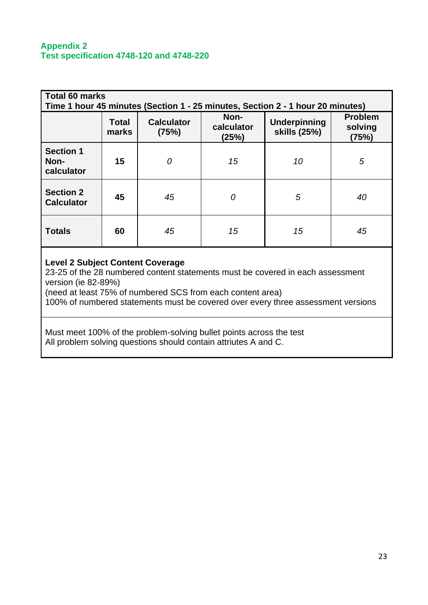#### **Appendix 2 Test specification 4748-120 and 4748-220**

| <b>Total 60 marks</b><br>Time 1 hour 45 minutes (Section 1 - 25 minutes, Section 2 - 1 hour 20 minutes) |                       |                            |                             |                                     |                                    |  |
|---------------------------------------------------------------------------------------------------------|-----------------------|----------------------------|-----------------------------|-------------------------------------|------------------------------------|--|
|                                                                                                         | <b>Total</b><br>marks | <b>Calculator</b><br>(75%) | Non-<br>calculator<br>(25%) | <b>Underpinning</b><br>skills (25%) | <b>Problem</b><br>solving<br>(75%) |  |
| <b>Section 1</b><br>Non-<br>calculator                                                                  | 15                    | 0                          | 15                          | 10                                  | 5                                  |  |
| <b>Section 2</b><br><b>Calculator</b>                                                                   | 45                    | 45                         | 0                           | 5                                   | 40                                 |  |
| <b>Totals</b>                                                                                           | 60                    | 45                         | 15                          | 15                                  | 45                                 |  |

# **Level 2 Subject Content Coverage**

23-25 of the 28 numbered content statements must be covered in each assessment version (ie 82-89%)

(need at least 75% of numbered SCS from each content area)

100% of numbered statements must be covered over every three assessment versions

Must meet 100% of the problem-solving bullet points across the test All problem solving questions should contain attriutes A and C.